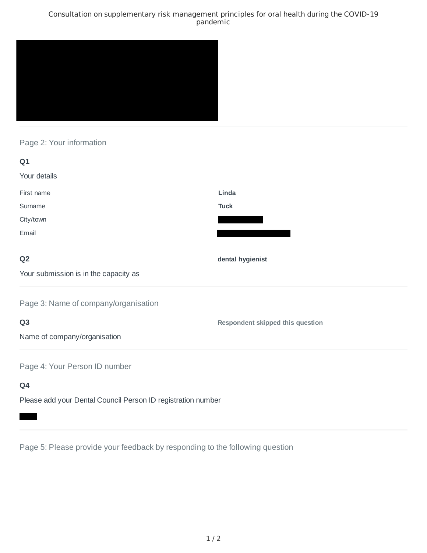### Consultation on supplementary risk management principles for oral health during the COVID-19 pandemic



## Page 2: Your information

| Q1                                                                |                                         |
|-------------------------------------------------------------------|-----------------------------------------|
| Your details                                                      |                                         |
| First name                                                        | Linda                                   |
| Surname                                                           | <b>Tuck</b>                             |
| City/town                                                         |                                         |
| Email                                                             |                                         |
| Q <sub>2</sub>                                                    | dental hygienist                        |
| Your submission is in the capacity as                             |                                         |
| Page 3: Name of company/organisation                              |                                         |
| Q <sub>3</sub>                                                    | <b>Respondent skipped this question</b> |
| Name of company/organisation                                      |                                         |
| Page 4: Your Person ID number                                     |                                         |
| Q4                                                                |                                         |
| Black and determined by the local Book and Book and the second by |                                         |

Please add your Dental Council Person ID registration number

Page 5: Please provide your feedback by responding to the following question